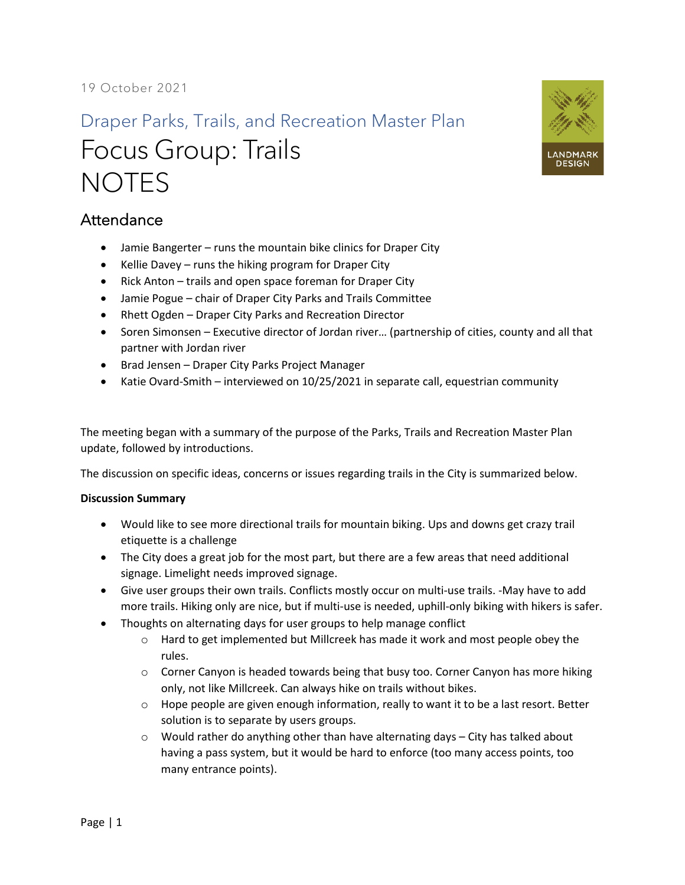## Draper Parks, Trails, and Recreation Master Plan Focus Group: Trails **NOTES**



- Jamie Bangerter runs the mountain bike clinics for Draper City
- Kellie Davey runs the hiking program for Draper City
- Rick Anton trails and open space foreman for Draper City
- Jamie Pogue chair of Draper City Parks and Trails Committee
- Rhett Ogden Draper City Parks and Recreation Director
- Soren Simonsen Executive director of Jordan river… (partnership of cities, county and all that partner with Jordan river
- Brad Jensen Draper City Parks Project Manager
- Katie Ovard-Smith interviewed on 10/25/2021 in separate call, equestrian community

The meeting began with a summary of the purpose of the Parks, Trails and Recreation Master Plan update, followed by introductions.

The discussion on specific ideas, concerns or issues regarding trails in the City is summarized below.

## **Discussion Summary**

- Would like to see more directional trails for mountain biking. Ups and downs get crazy trail etiquette is a challenge
- The City does a great job for the most part, but there are a few areas that need additional signage. Limelight needs improved signage.
- Give user groups their own trails. Conflicts mostly occur on multi-use trails. -May have to add more trails. Hiking only are nice, but if multi-use is needed, uphill-only biking with hikers is safer.
- Thoughts on alternating days for user groups to help manage conflict
	- o Hard to get implemented but Millcreek has made it work and most people obey the rules.
	- $\circ$  Corner Canyon is headed towards being that busy too. Corner Canyon has more hiking only, not like Millcreek. Can always hike on trails without bikes.
	- $\circ$  Hope people are given enough information, really to want it to be a last resort. Better solution is to separate by users groups.
	- $\circ$  Would rather do anything other than have alternating days City has talked about having a pass system, but it would be hard to enforce (too many access points, too many entrance points).

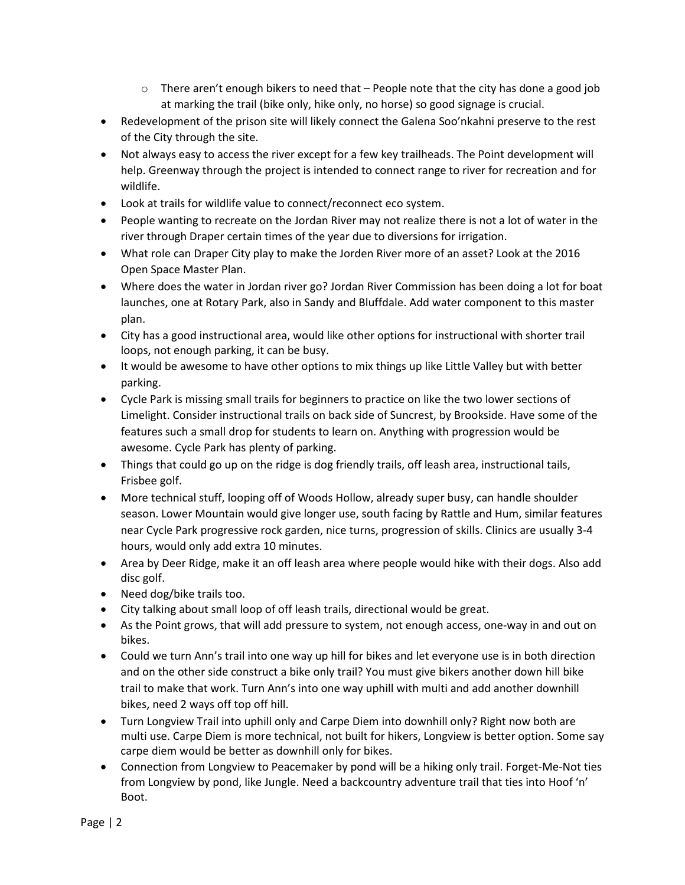- $\circ$  There aren't enough bikers to need that People note that the city has done a good job at marking the trail (bike only, hike only, no horse) so good signage is crucial.
- Redevelopment of the prison site will likely connect the Galena Soo'nkahni preserve to the rest of the City through the site.
- Not always easy to access the river except for a few key trailheads. The Point development will help. Greenway through the project is intended to connect range to river for recreation and for wildlife.
- Look at trails for wildlife value to connect/reconnect eco system.
- People wanting to recreate on the Jordan River may not realize there is not a lot of water in the river through Draper certain times of the year due to diversions for irrigation.
- What role can Draper City play to make the Jorden River more of an asset? Look at the 2016 Open Space Master Plan.
- Where does the water in Jordan river go? Jordan River Commission has been doing a lot for boat launches, one at Rotary Park, also in Sandy and Bluffdale. Add water component to this master plan.
- City has a good instructional area, would like other options for instructional with shorter trail loops, not enough parking, it can be busy.
- It would be awesome to have other options to mix things up like Little Valley but with better parking.
- Cycle Park is missing small trails for beginners to practice on like the two lower sections of Limelight. Consider instructional trails on back side of Suncrest, by Brookside. Have some of the features such a small drop for students to learn on. Anything with progression would be awesome. Cycle Park has plenty of parking.
- Things that could go up on the ridge is dog friendly trails, off leash area, instructional tails, Frisbee golf.
- More technical stuff, looping off of Woods Hollow, already super busy, can handle shoulder season. Lower Mountain would give longer use, south facing by Rattle and Hum, similar features near Cycle Park progressive rock garden, nice turns, progression of skills. Clinics are usually 3-4 hours, would only add extra 10 minutes.
- Area by Deer Ridge, make it an off leash area where people would hike with their dogs. Also add disc golf.
- Need dog/bike trails too.
- City talking about small loop of off leash trails, directional would be great.
- As the Point grows, that will add pressure to system, not enough access, one-way in and out on bikes.
- Could we turn Ann's trail into one way up hill for bikes and let everyone use is in both direction and on the other side construct a bike only trail? You must give bikers another down hill bike trail to make that work. Turn Ann's into one way uphill with multi and add another downhill bikes, need 2 ways off top off hill.
- Turn Longview Trail into uphill only and Carpe Diem into downhill only? Right now both are multi use. Carpe Diem is more technical, not built for hikers, Longview is better option. Some say carpe diem would be better as downhill only for bikes.
- Connection from Longview to Peacemaker by pond will be a hiking only trail. Forget-Me-Not ties from Longview by pond, like Jungle. Need a backcountry adventure trail that ties into Hoof 'n' Boot.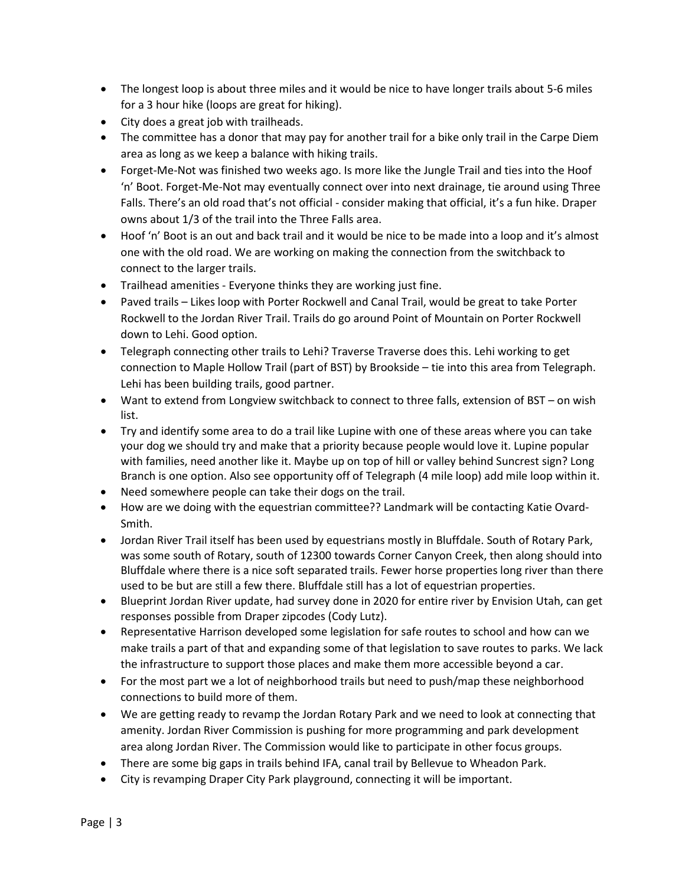- The longest loop is about three miles and it would be nice to have longer trails about 5-6 miles for a 3 hour hike (loops are great for hiking).
- City does a great job with trailheads.
- The committee has a donor that may pay for another trail for a bike only trail in the Carpe Diem area as long as we keep a balance with hiking trails.
- Forget-Me-Not was finished two weeks ago. Is more like the Jungle Trail and ties into the Hoof 'n' Boot. Forget-Me-Not may eventually connect over into next drainage, tie around using Three Falls. There's an old road that's not official - consider making that official, it's a fun hike. Draper owns about 1/3 of the trail into the Three Falls area.
- Hoof 'n' Boot is an out and back trail and it would be nice to be made into a loop and it's almost one with the old road. We are working on making the connection from the switchback to connect to the larger trails.
- Trailhead amenities Everyone thinks they are working just fine.
- Paved trails Likes loop with Porter Rockwell and Canal Trail, would be great to take Porter Rockwell to the Jordan River Trail. Trails do go around Point of Mountain on Porter Rockwell down to Lehi. Good option.
- Telegraph connecting other trails to Lehi? Traverse Traverse does this. Lehi working to get connection to Maple Hollow Trail (part of BST) by Brookside – tie into this area from Telegraph. Lehi has been building trails, good partner.
- Want to extend from Longview switchback to connect to three falls, extension of BST on wish list.
- Try and identify some area to do a trail like Lupine with one of these areas where you can take your dog we should try and make that a priority because people would love it. Lupine popular with families, need another like it. Maybe up on top of hill or valley behind Suncrest sign? Long Branch is one option. Also see opportunity off of Telegraph (4 mile loop) add mile loop within it.
- Need somewhere people can take their dogs on the trail.
- How are we doing with the equestrian committee?? Landmark will be contacting Katie Ovard-Smith.
- Jordan River Trail itself has been used by equestrians mostly in Bluffdale. South of Rotary Park, was some south of Rotary, south of 12300 towards Corner Canyon Creek, then along should into Bluffdale where there is a nice soft separated trails. Fewer horse properties long river than there used to be but are still a few there. Bluffdale still has a lot of equestrian properties.
- Blueprint Jordan River update, had survey done in 2020 for entire river by Envision Utah, can get responses possible from Draper zipcodes (Cody Lutz).
- Representative Harrison developed some legislation for safe routes to school and how can we make trails a part of that and expanding some of that legislation to save routes to parks. We lack the infrastructure to support those places and make them more accessible beyond a car.
- For the most part we a lot of neighborhood trails but need to push/map these neighborhood connections to build more of them.
- We are getting ready to revamp the Jordan Rotary Park and we need to look at connecting that amenity. Jordan River Commission is pushing for more programming and park development area along Jordan River. The Commission would like to participate in other focus groups.
- There are some big gaps in trails behind IFA, canal trail by Bellevue to Wheadon Park.
- City is revamping Draper City Park playground, connecting it will be important.